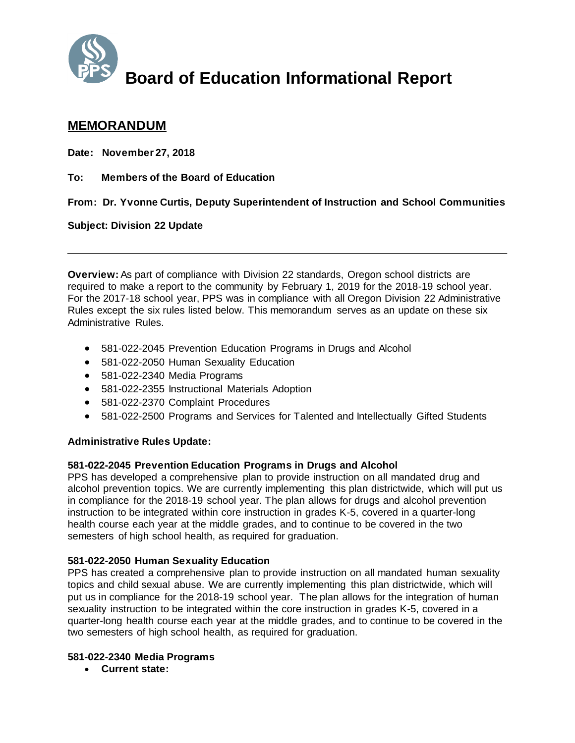

# **Board of Education Informational Report**

## **MEMORANDUM**

**Date: November 27, 2018** 

**To: Members of the Board of Education** 

**From: Dr. Yvonne Curtis, Deputy Superintendent of Instruction and School Communities**

#### **Subject: Division 22 Update**

**Overview:** As part of compliance with Division 22 standards, Oregon school districts are required to make a report to the community by February 1, 2019 for the 2018-19 school year. For the 2017-18 school year, PPS was in compliance with all Oregon Division 22 Administrative Rules except the six rules listed below. This memorandum serves as an update on these six Administrative Rules.

- 581-022-2045 Prevention Education Programs in Drugs and Alcohol
- 581-022-2050 Human Sexuality Education
- 581-022-2340 Media Programs
- 581-022-2355 Instructional Materials Adoption
- 581-022-2370 Complaint Procedures
- 581-022-2500 Programs and Services for Talented and Intellectually Gifted Students

#### **Administrative Rules Update:**

#### **581-022-2045 Prevention Education Programs in Drugs and Alcohol**

PPS has developed a comprehensive plan to provide instruction on all mandated drug and alcohol prevention topics. We are currently implementing this plan districtwide, which will put us in compliance for the 2018-19 school year. The plan allows for drugs and alcohol prevention instruction to be integrated within core instruction in grades K-5, covered in a quarter-long health course each year at the middle grades, and to continue to be covered in the two semesters of high school health, as required for graduation.

#### **581-022-2050 Human Sexuality Education**

PPS has created a comprehensive plan to provide instruction on all mandated human sexuality topics and child sexual abuse. We are currently implementing this plan districtwide, which will put us in compliance for the 2018-19 school year. The plan allows for the integration of human sexuality instruction to be integrated within the core instruction in grades K-5, covered in a quarter-long health course each year at the middle grades, and to continue to be covered in the two semesters of high school health, as required for graduation.

#### **581-022-2340 Media Programs**

**Current state:**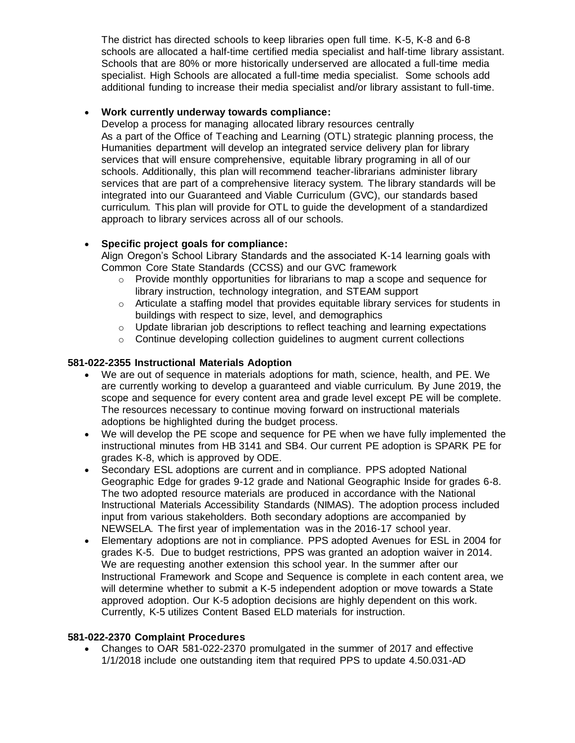The district has directed schools to keep libraries open full time. K-5, K-8 and 6-8 schools are allocated a half-time certified media specialist and half-time library assistant. Schools that are 80% or more historically underserved are allocated a full-time media specialist. High Schools are allocated a full-time media specialist. Some schools add additional funding to increase their media specialist and/or library assistant to full-time.

#### **Work currently underway towards compliance:**

Develop a process for managing allocated library resources centrally As a part of the Office of Teaching and Learning (OTL) strategic planning process, the Humanities department will develop an integrated service delivery plan for library services that will ensure comprehensive, equitable library programing in all of our schools. Additionally, this plan will recommend teacher-librarians administer library services that are part of a comprehensive literacy system. The library standards will be integrated into our Guaranteed and Viable Curriculum (GVC), our standards based curriculum. This plan will provide for OTL to guide the development of a standardized approach to library services across all of our schools.

### **Specific project goals for compliance:**

Align Oregon's School Library Standards and the associated K-14 learning goals with Common Core State Standards (CCSS) and our GVC framework

- $\circ$  Provide monthly opportunities for librarians to map a scope and sequence for library instruction, technology integration, and STEAM support
- $\circ$  Articulate a staffing model that provides equitable library services for students in buildings with respect to size, level, and demographics
- o Update librarian job descriptions to reflect teaching and learning expectations
- o Continue developing collection guidelines to augment current collections

#### **581-022-2355 Instructional Materials Adoption**

- We are out of sequence in materials adoptions for math, science, health, and PE. We are currently working to develop a guaranteed and viable curriculum. By June 2019, the scope and sequence for every content area and grade level except PE will be complete. The resources necessary to continue moving forward on instructional materials adoptions be highlighted during the budget process.
- We will develop the PE scope and sequence for PE when we have fully implemented the instructional minutes from HB 3141 and SB4. Our current PE adoption is SPARK PE for grades K-8, which is approved by ODE.
- Secondary ESL adoptions are current and in compliance. PPS adopted National Geographic Edge for grades 9-12 grade and National Geographic Inside for grades 6-8. The two adopted resource materials are produced in accordance with the National Instructional Materials Accessibility Standards (NIMAS). The adoption process included input from various stakeholders. Both secondary adoptions are accompanied by NEWSELA. The first year of implementation was in the 2016-17 school year.
- Elementary adoptions are not in compliance. PPS adopted Avenues for ESL in 2004 for grades K-5. Due to budget restrictions, PPS was granted an adoption waiver in 2014. We are requesting another extension this school year. In the summer after our Instructional Framework and Scope and Sequence is complete in each content area, we will determine whether to submit a K-5 independent adoption or move towards a State approved adoption. Our K-5 adoption decisions are highly dependent on this work. Currently, K-5 utilizes Content Based ELD materials for instruction.

#### **581-022-2370 Complaint Procedures**

 Changes to OAR 581-022-2370 promulgated in the summer of 2017 and effective 1/1/2018 include one outstanding item that required PPS to update 4.50.031-AD